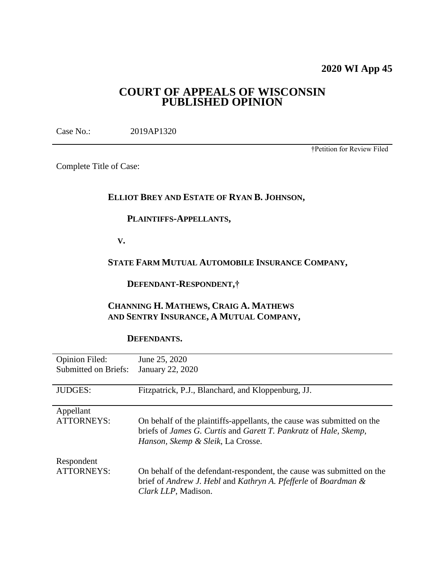# **2020 WI App 45**

# **COURT OF APPEALS OF WISCONSIN PUBLISHED OPINION**

Case No.: 2019AP1320

†Petition for Review Filed

Complete Title of Case:

# **ELLIOT BREY AND ESTATE OF RYAN B. JOHNSON,**

#### **PLAINTIFFS-APPELLANTS,**

 **V.**

## **STATE FARM MUTUAL AUTOMOBILE INSURANCE COMPANY,**

 **DEFENDANT-RESPONDENT,†**

# **CHANNING H. MATHEWS, CRAIG A. MATHEWS AND SENTRY INSURANCE, A MUTUAL COMPANY,**

#### **DEFENDANTS.**

| <b>Opinion Filed:</b>       | June 25, 2020                                                          |
|-----------------------------|------------------------------------------------------------------------|
| <b>Submitted on Briefs:</b> | January 22, 2020                                                       |
|                             |                                                                        |
| <b>JUDGES:</b>              | Fitzpatrick, P.J., Blanchard, and Kloppenburg, JJ.                     |
|                             |                                                                        |
| Appellant                   |                                                                        |
| <b>ATTORNEYS:</b>           | On behalf of the plaintiffs-appellants, the cause was submitted on the |
|                             | briefs of James G. Curtis and Garett T. Pankratz of Hale, Skemp,       |
|                             | Hanson, Skemp & Sleik, La Crosse.                                      |
|                             |                                                                        |
| Respondent                  |                                                                        |
| <b>ATTORNEYS:</b>           | On behalf of the defendant-respondent, the cause was submitted on the  |
|                             | brief of Andrew J. Hebl and Kathryn A. Pfefferle of Boardman &         |
|                             | Clark LLP, Madison.                                                    |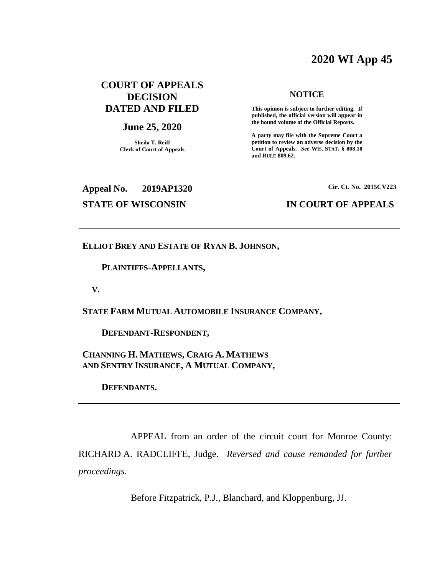# **2020 WI App 45**

# **COURT OF APPEALS DECISION DATED AND FILED**

#### **June 25, 2020**

**Sheila T. Reiff Clerk of Court of Appeals**

#### **NOTICE**

**This opinion is subject to further editing. If published, the official version will appear in the bound volume of the Official Reports.** 

**A party may file with the Supreme Court a petition to review an adverse decision by the Court of Appeals.** *See* **WIS. STAT. § 808.10 and RULE 809.62.** 

**Appeal No. 2019AP1320 Cir. Ct. No. 2015CV223**

## **STATE OF WISCONSIN IN COURT OF APPEALS**

**ELLIOT BREY AND ESTATE OF RYAN B. JOHNSON,**

 **PLAINTIFFS-APPELLANTS,**

 **V.**

**STATE FARM MUTUAL AUTOMOBILE INSURANCE COMPANY,**

 **DEFENDANT-RESPONDENT,**

**CHANNING H. MATHEWS, CRAIG A. MATHEWS AND SENTRY INSURANCE, A MUTUAL COMPANY,**

 **DEFENDANTS.**

APPEAL from an order of the circuit court for Monroe County: RICHARD A. RADCLIFFE, Judge. *Reversed and cause remanded for further proceedings.*

Before Fitzpatrick, P.J., Blanchard, and Kloppenburg, JJ.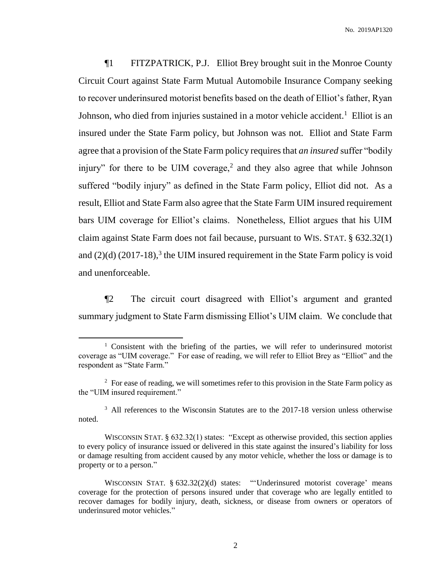¶1 FITZPATRICK, P.J. Elliot Brey brought suit in the Monroe County Circuit Court against State Farm Mutual Automobile Insurance Company seeking to recover underinsured motorist benefits based on the death of Elliot's father, Ryan Johnson, who died from injuries sustained in a motor vehicle accident.<sup>1</sup> Elliot is an insured under the State Farm policy, but Johnson was not. Elliot and State Farm agree that a provision of the State Farm policy requires that *an insured* suffer "bodily injury" for there to be UIM coverage,<sup>2</sup> and they also agree that while Johnson suffered "bodily injury" as defined in the State Farm policy, Elliot did not. As a result, Elliot and State Farm also agree that the State Farm UIM insured requirement bars UIM coverage for Elliot's claims. Nonetheless, Elliot argues that his UIM claim against State Farm does not fail because, pursuant to WIS. STAT. § 632.32(1) and  $(2)(d)$   $(2017-18)$ ,<sup>3</sup> the UIM insured requirement in the State Farm policy is void and unenforceable.

¶2 The circuit court disagreed with Elliot's argument and granted summary judgment to State Farm dismissing Elliot's UIM claim. We conclude that

 $\overline{a}$ 

<sup>3</sup> All references to the Wisconsin Statutes are to the 2017-18 version unless otherwise noted.

<sup>&</sup>lt;sup>1</sup> Consistent with the briefing of the parties, we will refer to underinsured motorist coverage as "UIM coverage." For ease of reading, we will refer to Elliot Brey as "Elliot" and the respondent as "State Farm."

 $2^2$  For ease of reading, we will sometimes refer to this provision in the State Farm policy as the "UIM insured requirement."

WISCONSIN STAT. § 632.32(1) states: "Except as otherwise provided, this section applies to every policy of insurance issued or delivered in this state against the insured's liability for loss or damage resulting from accident caused by any motor vehicle, whether the loss or damage is to property or to a person."

WISCONSIN STAT. § 632.32(2)(d) states: "'Underinsured motorist coverage' means coverage for the protection of persons insured under that coverage who are legally entitled to recover damages for bodily injury, death, sickness, or disease from owners or operators of underinsured motor vehicles."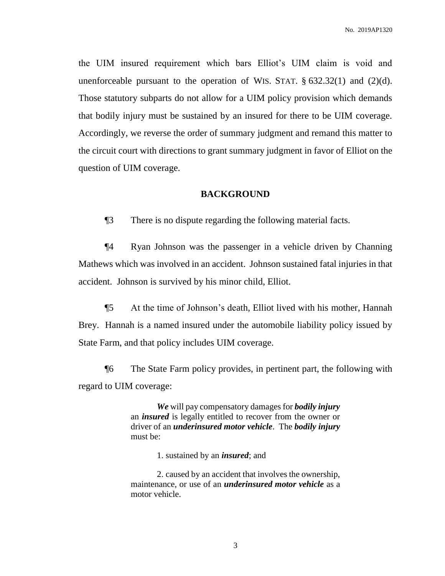the UIM insured requirement which bars Elliot's UIM claim is void and unenforceable pursuant to the operation of WIS. STAT.  $\S 632.32(1)$  and  $(2)(d)$ . Those statutory subparts do not allow for a UIM policy provision which demands that bodily injury must be sustained by an insured for there to be UIM coverage. Accordingly, we reverse the order of summary judgment and remand this matter to the circuit court with directions to grant summary judgment in favor of Elliot on the question of UIM coverage.

#### **BACKGROUND**

¶3 There is no dispute regarding the following material facts.

¶4 Ryan Johnson was the passenger in a vehicle driven by Channing Mathews which was involved in an accident. Johnson sustained fatal injuries in that accident. Johnson is survived by his minor child, Elliot.

¶5 At the time of Johnson's death, Elliot lived with his mother, Hannah Brey. Hannah is a named insured under the automobile liability policy issued by State Farm, and that policy includes UIM coverage.

¶6 The State Farm policy provides, in pertinent part, the following with regard to UIM coverage:

> *We* will pay compensatory damages for *bodily injury* an *insured* is legally entitled to recover from the owner or driver of an *underinsured motor vehicle*. The *bodily injury* must be:

> > 1. sustained by an *insured*; and

2. caused by an accident that involves the ownership, maintenance, or use of an *underinsured motor vehicle* as a motor vehicle.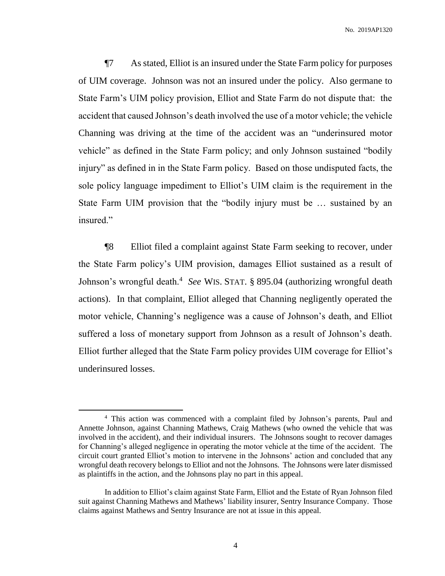¶7 As stated, Elliot is an insured under the State Farm policy for purposes of UIM coverage. Johnson was not an insured under the policy. Also germane to State Farm's UIM policy provision, Elliot and State Farm do not dispute that: the accident that caused Johnson's death involved the use of a motor vehicle; the vehicle Channing was driving at the time of the accident was an "underinsured motor vehicle" as defined in the State Farm policy; and only Johnson sustained "bodily injury" as defined in in the State Farm policy. Based on those undisputed facts, the sole policy language impediment to Elliot's UIM claim is the requirement in the State Farm UIM provision that the "bodily injury must be … sustained by an insured."

¶8 Elliot filed a complaint against State Farm seeking to recover, under the State Farm policy's UIM provision, damages Elliot sustained as a result of Johnson's wrongful death.<sup>4</sup> See WIS. STAT. § 895.04 (authorizing wrongful death actions). In that complaint, Elliot alleged that Channing negligently operated the motor vehicle, Channing's negligence was a cause of Johnson's death, and Elliot suffered a loss of monetary support from Johnson as a result of Johnson's death. Elliot further alleged that the State Farm policy provides UIM coverage for Elliot's underinsured losses.

 $\overline{a}$ 

<sup>&</sup>lt;sup>4</sup> This action was commenced with a complaint filed by Johnson's parents, Paul and Annette Johnson, against Channing Mathews, Craig Mathews (who owned the vehicle that was involved in the accident), and their individual insurers. The Johnsons sought to recover damages for Channing's alleged negligence in operating the motor vehicle at the time of the accident. The circuit court granted Elliot's motion to intervene in the Johnsons' action and concluded that any wrongful death recovery belongs to Elliot and not the Johnsons. The Johnsons were later dismissed as plaintiffs in the action, and the Johnsons play no part in this appeal.

In addition to Elliot's claim against State Farm, Elliot and the Estate of Ryan Johnson filed suit against Channing Mathews and Mathews' liability insurer, Sentry Insurance Company. Those claims against Mathews and Sentry Insurance are not at issue in this appeal.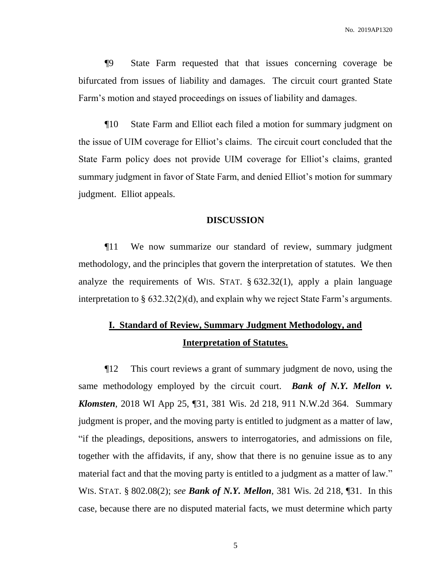¶9 State Farm requested that that issues concerning coverage be bifurcated from issues of liability and damages. The circuit court granted State Farm's motion and stayed proceedings on issues of liability and damages.

¶10 State Farm and Elliot each filed a motion for summary judgment on the issue of UIM coverage for Elliot's claims. The circuit court concluded that the State Farm policy does not provide UIM coverage for Elliot's claims, granted summary judgment in favor of State Farm, and denied Elliot's motion for summary judgment. Elliot appeals.

#### **DISCUSSION**

¶11 We now summarize our standard of review, summary judgment methodology, and the principles that govern the interpretation of statutes. We then analyze the requirements of WIS. STAT. § 632.32(1), apply a plain language interpretation to § 632.32(2)(d), and explain why we reject State Farm's arguments.

# **I. Standard of Review, Summary Judgment Methodology, and Interpretation of Statutes.**

¶12 This court reviews a grant of summary judgment de novo, using the same methodology employed by the circuit court. *Bank of N.Y. Mellon v. Klomsten*, 2018 WI App 25, ¶31, 381 Wis. 2d 218, 911 N.W.2d 364. Summary judgment is proper, and the moving party is entitled to judgment as a matter of law, "if the pleadings, depositions, answers to interrogatories, and admissions on file, together with the affidavits, if any, show that there is no genuine issue as to any material fact and that the moving party is entitled to a judgment as a matter of law." WIS. STAT. § 802.08(2); *see Bank of N.Y. Mellon*, 381 Wis. 2d 218, ¶31. In this case, because there are no disputed material facts, we must determine which party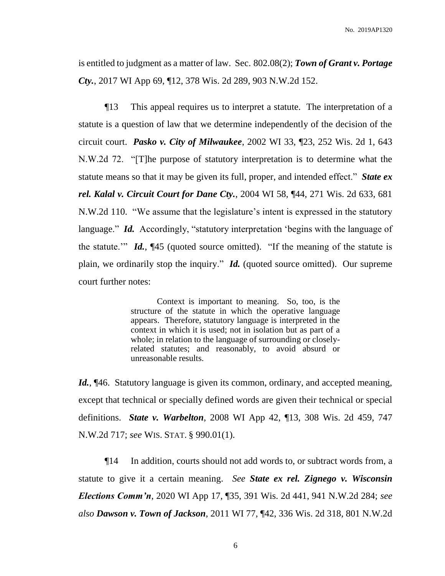is entitled to judgment as a matter of law. Sec. 802.08(2); *Town of Grant v. Portage Cty.*, 2017 WI App 69, ¶12, 378 Wis. 2d 289, 903 N.W.2d 152.

¶13 This appeal requires us to interpret a statute. The interpretation of a statute is a question of law that we determine independently of the decision of the circuit court. *Pasko v. City of Milwaukee*, 2002 WI 33, ¶23, 252 Wis. 2d 1, 643 N.W.2d 72. "[T]he purpose of statutory interpretation is to determine what the statute means so that it may be given its full, proper, and intended effect." *State ex rel. Kalal v. Circuit Court for Dane Cty.*, 2004 WI 58, ¶44, 271 Wis. 2d 633, 681 N.W.2d 110. "We assume that the legislature's intent is expressed in the statutory language." *Id.* Accordingly, "statutory interpretation 'begins with the language of the statute.'" *Id.*, ¶45 (quoted source omitted). "If the meaning of the statute is plain, we ordinarily stop the inquiry." *Id.* (quoted source omitted). Our supreme court further notes:

> Context is important to meaning. So, too, is the structure of the statute in which the operative language appears. Therefore, statutory language is interpreted in the context in which it is used; not in isolation but as part of a whole; in relation to the language of surrounding or closelyrelated statutes; and reasonably, to avoid absurd or unreasonable results.

Id., [46. Statutory language is given its common, ordinary, and accepted meaning, except that technical or specially defined words are given their technical or special definitions. *State v. Warbelton*, 2008 WI App 42, ¶13, 308 Wis. 2d 459, 747 N.W.2d 717; *see* WIS. STAT. § 990.01(1).

¶14 In addition, courts should not add words to, or subtract words from, a statute to give it a certain meaning. *See State ex rel. Zignego v. Wisconsin Elections Comm'n*, 2020 WI App 17, ¶35, 391 Wis. 2d 441, 941 N.W.2d 284; *see also Dawson v. Town of Jackson*, 2011 WI 77, ¶42, 336 Wis. 2d 318, 801 N.W.2d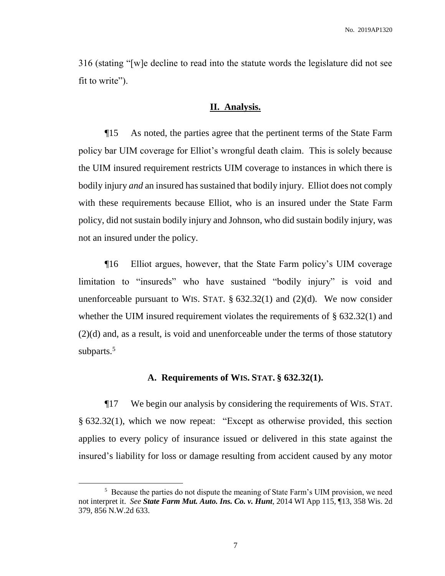316 (stating "[w]e decline to read into the statute words the legislature did not see fit to write").

#### **II. Analysis.**

¶15 As noted, the parties agree that the pertinent terms of the State Farm policy bar UIM coverage for Elliot's wrongful death claim. This is solely because the UIM insured requirement restricts UIM coverage to instances in which there is bodily injury *and* an insured has sustained that bodily injury. Elliot does not comply with these requirements because Elliot, who is an insured under the State Farm policy, did not sustain bodily injury and Johnson, who did sustain bodily injury, was not an insured under the policy.

¶16 Elliot argues, however, that the State Farm policy's UIM coverage limitation to "insureds" who have sustained "bodily injury" is void and unenforceable pursuant to WIS. STAT.  $\S 632.32(1)$  and (2)(d). We now consider whether the UIM insured requirement violates the requirements of § 632.32(1) and (2)(d) and, as a result, is void and unenforceable under the terms of those statutory subparts.<sup>5</sup>

#### **A. Requirements of WIS. STAT. § 632.32(1).**

¶17 We begin our analysis by considering the requirements of WIS. STAT. § 632.32(1), which we now repeat: "Except as otherwise provided, this section applies to every policy of insurance issued or delivered in this state against the insured's liability for loss or damage resulting from accident caused by any motor

 $\overline{a}$ 

<sup>&</sup>lt;sup>5</sup> Because the parties do not dispute the meaning of State Farm's UIM provision, we need not interpret it. *See State Farm Mut. Auto. Ins. Co. v. Hunt*, 2014 WI App 115, ¶13, 358 Wis. 2d 379, 856 N.W.2d 633.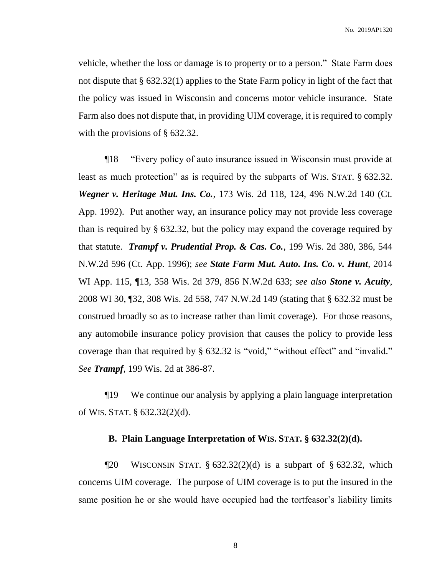vehicle, whether the loss or damage is to property or to a person." State Farm does not dispute that § 632.32(1) applies to the State Farm policy in light of the fact that the policy was issued in Wisconsin and concerns motor vehicle insurance. State Farm also does not dispute that, in providing UIM coverage, it is required to comply with the provisions of § 632.32.

¶18 "Every policy of auto insurance issued in Wisconsin must provide at least as much protection" as is required by the subparts of WIS. STAT. § 632.32. *Wegner v. Heritage Mut. Ins. Co.*, 173 Wis. 2d 118, 124, 496 N.W.2d 140 (Ct. App. 1992). Put another way, an insurance policy may not provide less coverage than is required by § 632.32, but the policy may expand the coverage required by that statute. *Trampf v. Prudential Prop. & Cas. Co.*, 199 Wis. 2d 380, 386, 544 N.W.2d 596 (Ct. App. 1996); *see State Farm Mut. Auto. Ins. Co. v. Hunt*, 2014 WI App. 115, ¶13, 358 Wis. 2d 379, 856 N.W.2d 633; *see also Stone v. Acuity*, 2008 WI 30, ¶32, 308 Wis. 2d 558, 747 N.W.2d 149 (stating that § 632.32 must be construed broadly so as to increase rather than limit coverage). For those reasons, any automobile insurance policy provision that causes the policy to provide less coverage than that required by § 632.32 is "void," "without effect" and "invalid." *See Trampf*, 199 Wis. 2d at 386-87.

¶19 We continue our analysis by applying a plain language interpretation of WIS. STAT. § 632.32(2)(d).

#### **B. Plain Language Interpretation of WIS. STAT. § 632.32(2)(d).**

 $\P$ 20 WISCONSIN STAT. § 632.32(2)(d) is a subpart of § 632.32, which concerns UIM coverage. The purpose of UIM coverage is to put the insured in the same position he or she would have occupied had the tortfeasor's liability limits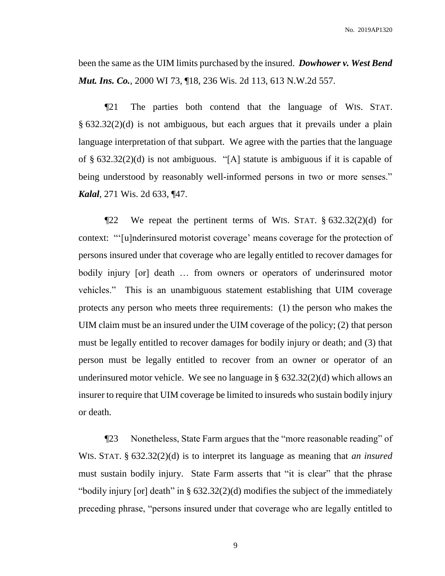No. 2019AP1320

been the same as the UIM limits purchased by the insured. *Dowhower v. West Bend Mut. Ins. Co.*, 2000 WI 73, ¶18, 236 Wis. 2d 113, 613 N.W.2d 557.

¶21 The parties both contend that the language of WIS. STAT. § 632.32(2)(d) is not ambiguous, but each argues that it prevails under a plain language interpretation of that subpart. We agree with the parties that the language of § 632.32(2)(d) is not ambiguous. "[A] statute is ambiguous if it is capable of being understood by reasonably well-informed persons in two or more senses." *Kalal*, 271 Wis. 2d 633, ¶47.

¶22 We repeat the pertinent terms of WIS. STAT. § 632.32(2)(d) for context: "'[u]nderinsured motorist coverage' means coverage for the protection of persons insured under that coverage who are legally entitled to recover damages for bodily injury [or] death ... from owners or operators of underinsured motor vehicles." This is an unambiguous statement establishing that UIM coverage protects any person who meets three requirements: (1) the person who makes the UIM claim must be an insured under the UIM coverage of the policy; (2) that person must be legally entitled to recover damages for bodily injury or death; and (3) that person must be legally entitled to recover from an owner or operator of an underinsured motor vehicle. We see no language in § 632.32(2)(d) which allows an insurer to require that UIM coverage be limited to insureds who sustain bodily injury or death.

¶23 Nonetheless, State Farm argues that the "more reasonable reading" of WIS. STAT. § 632.32(2)(d) is to interpret its language as meaning that *an insured* must sustain bodily injury. State Farm asserts that "it is clear" that the phrase "bodily injury [or] death" in § 632.32(2)(d) modifies the subject of the immediately preceding phrase, "persons insured under that coverage who are legally entitled to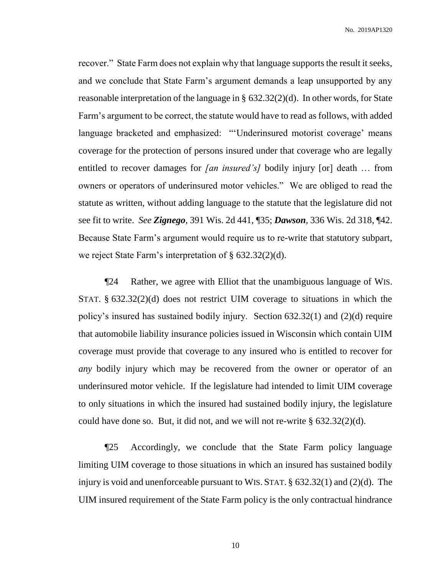recover." State Farm does not explain why that language supports the result it seeks, and we conclude that State Farm's argument demands a leap unsupported by any reasonable interpretation of the language in § 632.32(2)(d). In other words, for State Farm's argument to be correct, the statute would have to read as follows, with added language bracketed and emphasized: "'Underinsured motorist coverage' means coverage for the protection of persons insured under that coverage who are legally entitled to recover damages for *[an insured's]* bodily injury [or] death … from owners or operators of underinsured motor vehicles." We are obliged to read the statute as written, without adding language to the statute that the legislature did not see fit to write. *See Zignego*, 391 Wis. 2d 441, ¶35; *Dawson*, 336 Wis. 2d 318, ¶42. Because State Farm's argument would require us to re-write that statutory subpart, we reject State Farm's interpretation of § 632.32(2)(d).

¶24 Rather, we agree with Elliot that the unambiguous language of WIS. STAT. § 632.32(2)(d) does not restrict UIM coverage to situations in which the policy's insured has sustained bodily injury. Section 632.32(1) and (2)(d) require that automobile liability insurance policies issued in Wisconsin which contain UIM coverage must provide that coverage to any insured who is entitled to recover for *any* bodily injury which may be recovered from the owner or operator of an underinsured motor vehicle. If the legislature had intended to limit UIM coverage to only situations in which the insured had sustained bodily injury, the legislature could have done so. But, it did not, and we will not re-write § 632.32(2)(d).

¶25 Accordingly, we conclude that the State Farm policy language limiting UIM coverage to those situations in which an insured has sustained bodily injury is void and unenforceable pursuant to WIS. STAT. § 632.32(1) and (2)(d). The UIM insured requirement of the State Farm policy is the only contractual hindrance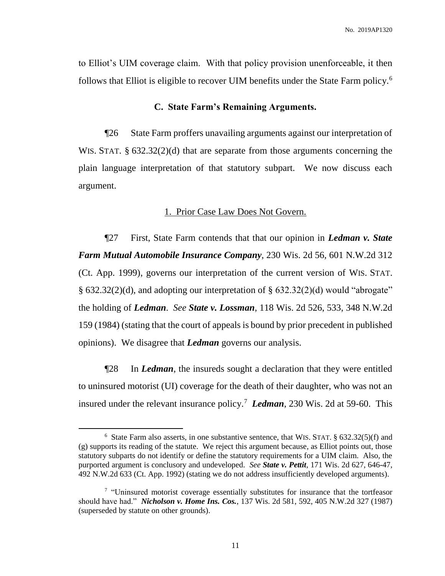to Elliot's UIM coverage claim. With that policy provision unenforceable, it then follows that Elliot is eligible to recover UIM benefits under the State Farm policy.<sup>6</sup>

#### **C. State Farm's Remaining Arguments.**

¶26 State Farm proffers unavailing arguments against our interpretation of WIS. STAT. § 632.32(2)(d) that are separate from those arguments concerning the plain language interpretation of that statutory subpart. We now discuss each argument.

#### 1. Prior Case Law Does Not Govern.

¶27 First, State Farm contends that that our opinion in *Ledman v. State Farm Mutual Automobile Insurance Company*, 230 Wis. 2d 56, 601 N.W.2d 312 (Ct. App. 1999), governs our interpretation of the current version of WIS. STAT. § 632.32(2)(d), and adopting our interpretation of § 632.32(2)(d) would "abrogate" the holding of *Ledman*. *See State v. Lossman*, 118 Wis. 2d 526, 533, 348 N.W.2d 159 (1984) (stating that the court of appeals is bound by prior precedent in published opinions). We disagree that *Ledman* governs our analysis.

¶28 In *Ledman*, the insureds sought a declaration that they were entitled to uninsured motorist (UI) coverage for the death of their daughter, who was not an insured under the relevant insurance policy.<sup>7</sup> *Ledman*, 230 Wis. 2d at 59-60. This

 $\overline{a}$ 

<sup>6</sup> State Farm also asserts, in one substantive sentence, that WIS. STAT. § 632.32(5)(f) and (g) supports its reading of the statute. We reject this argument because, as Elliot points out, those statutory subparts do not identify or define the statutory requirements for a UIM claim. Also, the purported argument is conclusory and undeveloped. *See State v. Pettit*, 171 Wis. 2d 627, 646-47, 492 N.W.2d 633 (Ct. App. 1992) (stating we do not address insufficiently developed arguments).

<sup>&</sup>lt;sup>7</sup> "Uninsured motorist coverage essentially substitutes for insurance that the tortfeasor should have had." *Nicholson v. Home Ins. Cos.*, 137 Wis. 2d 581, 592, 405 N.W.2d 327 (1987) (superseded by statute on other grounds).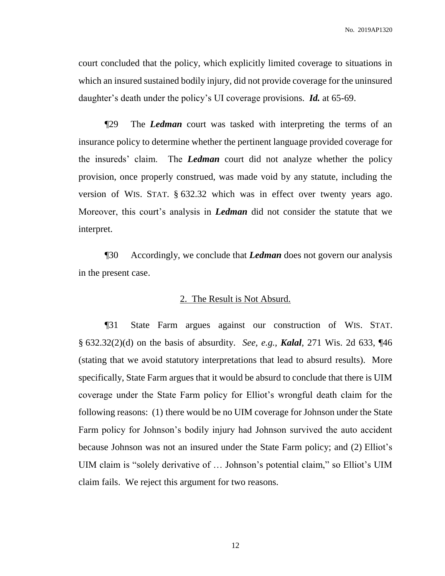court concluded that the policy, which explicitly limited coverage to situations in which an insured sustained bodily injury, did not provide coverage for the uninsured daughter's death under the policy's UI coverage provisions. *Id.* at 65-69.

¶29 The *Ledman* court was tasked with interpreting the terms of an insurance policy to determine whether the pertinent language provided coverage for the insureds' claim. The *Ledman* court did not analyze whether the policy provision, once properly construed, was made void by any statute, including the version of WIS. STAT. § 632.32 which was in effect over twenty years ago. Moreover, this court's analysis in *Ledman* did not consider the statute that we interpret.

¶30 Accordingly, we conclude that *Ledman* does not govern our analysis in the present case.

#### 2. The Result is Not Absurd.

¶31 State Farm argues against our construction of WIS. STAT. § 632.32(2)(d) on the basis of absurdity. *See, e.g., Kalal*, 271 Wis. 2d 633, ¶46 (stating that we avoid statutory interpretations that lead to absurd results). More specifically, State Farm argues that it would be absurd to conclude that there is UIM coverage under the State Farm policy for Elliot's wrongful death claim for the following reasons: (1) there would be no UIM coverage for Johnson under the State Farm policy for Johnson's bodily injury had Johnson survived the auto accident because Johnson was not an insured under the State Farm policy; and (2) Elliot's UIM claim is "solely derivative of … Johnson's potential claim," so Elliot's UIM claim fails. We reject this argument for two reasons.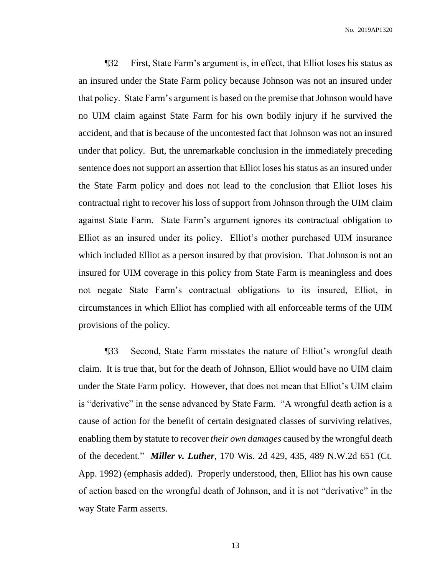¶32 First, State Farm's argument is, in effect, that Elliot loses his status as an insured under the State Farm policy because Johnson was not an insured under that policy. State Farm's argument is based on the premise that Johnson would have no UIM claim against State Farm for his own bodily injury if he survived the accident, and that is because of the uncontested fact that Johnson was not an insured under that policy. But, the unremarkable conclusion in the immediately preceding sentence does not support an assertion that Elliot loses his status as an insured under the State Farm policy and does not lead to the conclusion that Elliot loses his contractual right to recover his loss of support from Johnson through the UIM claim against State Farm. State Farm's argument ignores its contractual obligation to Elliot as an insured under its policy. Elliot's mother purchased UIM insurance which included Elliot as a person insured by that provision. That Johnson is not an insured for UIM coverage in this policy from State Farm is meaningless and does not negate State Farm's contractual obligations to its insured, Elliot, in circumstances in which Elliot has complied with all enforceable terms of the UIM provisions of the policy.

¶33 Second, State Farm misstates the nature of Elliot's wrongful death claim. It is true that, but for the death of Johnson, Elliot would have no UIM claim under the State Farm policy. However, that does not mean that Elliot's UIM claim is "derivative" in the sense advanced by State Farm. "A wrongful death action is a cause of action for the benefit of certain designated classes of surviving relatives, enabling them by statute to recover *their own damages* caused by the wrongful death of the decedent." *Miller v. Luther*, 170 Wis. 2d 429, 435, 489 N.W.2d 651 (Ct. App. 1992) (emphasis added). Properly understood, then, Elliot has his own cause of action based on the wrongful death of Johnson, and it is not "derivative" in the way State Farm asserts.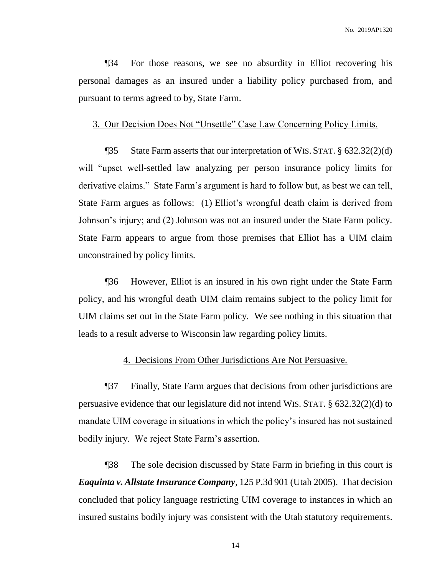¶34 For those reasons, we see no absurdity in Elliot recovering his personal damages as an insured under a liability policy purchased from, and pursuant to terms agreed to by, State Farm.

#### 3. Our Decision Does Not "Unsettle" Case Law Concerning Policy Limits.

 $\P$ 35 State Farm asserts that our interpretation of WIS. STAT. § 632.32(2)(d) will "upset well-settled law analyzing per person insurance policy limits for derivative claims." State Farm's argument is hard to follow but, as best we can tell, State Farm argues as follows: (1) Elliot's wrongful death claim is derived from Johnson's injury; and (2) Johnson was not an insured under the State Farm policy. State Farm appears to argue from those premises that Elliot has a UIM claim unconstrained by policy limits.

¶36 However, Elliot is an insured in his own right under the State Farm policy, and his wrongful death UIM claim remains subject to the policy limit for UIM claims set out in the State Farm policy. We see nothing in this situation that leads to a result adverse to Wisconsin law regarding policy limits.

### 4. Decisions From Other Jurisdictions Are Not Persuasive.

¶37 Finally, State Farm argues that decisions from other jurisdictions are persuasive evidence that our legislature did not intend WIS. STAT. § 632.32(2)(d) to mandate UIM coverage in situations in which the policy's insured has not sustained bodily injury. We reject State Farm's assertion.

¶38 The sole decision discussed by State Farm in briefing in this court is *Eaquinta v. Allstate Insurance Company*, 125 P.3d 901 (Utah 2005). That decision concluded that policy language restricting UIM coverage to instances in which an insured sustains bodily injury was consistent with the Utah statutory requirements.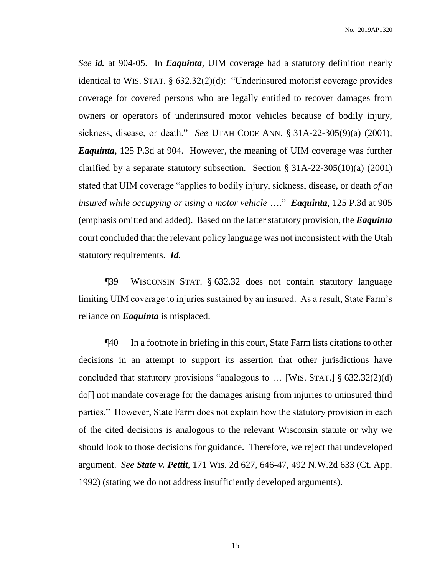*See id.* at 904-05. In *Eaquinta*, UIM coverage had a statutory definition nearly identical to WIS. STAT. § 632.32(2)(d): "Underinsured motorist coverage provides coverage for covered persons who are legally entitled to recover damages from owners or operators of underinsured motor vehicles because of bodily injury, sickness, disease, or death." *See* UTAH CODE ANN. § 31A-22-305(9)(a) (2001); *Eaquinta*, 125 P.3d at 904. However, the meaning of UIM coverage was further clarified by a separate statutory subsection. Section § 31A-22-305(10)(a) (2001) stated that UIM coverage "applies to bodily injury, sickness, disease, or death *of an insured while occupying or using a motor vehicle* …." *Eaquinta*, 125 P.3d at 905 (emphasis omitted and added). Based on the latter statutory provision, the *Eaquinta* court concluded that the relevant policy language was not inconsistent with the Utah statutory requirements. *Id.*

¶39 WISCONSIN STAT. § 632.32 does not contain statutory language limiting UIM coverage to injuries sustained by an insured. As a result, State Farm's reliance on *Eaquinta* is misplaced.

¶40 In a footnote in briefing in this court, State Farm lists citations to other decisions in an attempt to support its assertion that other jurisdictions have concluded that statutory provisions "analogous to … [WIS. STAT.] § 632.32(2)(d) do[] not mandate coverage for the damages arising from injuries to uninsured third parties." However, State Farm does not explain how the statutory provision in each of the cited decisions is analogous to the relevant Wisconsin statute or why we should look to those decisions for guidance. Therefore, we reject that undeveloped argument. *See State v. Pettit*, 171 Wis. 2d 627, 646-47, 492 N.W.2d 633 (Ct. App. 1992) (stating we do not address insufficiently developed arguments).